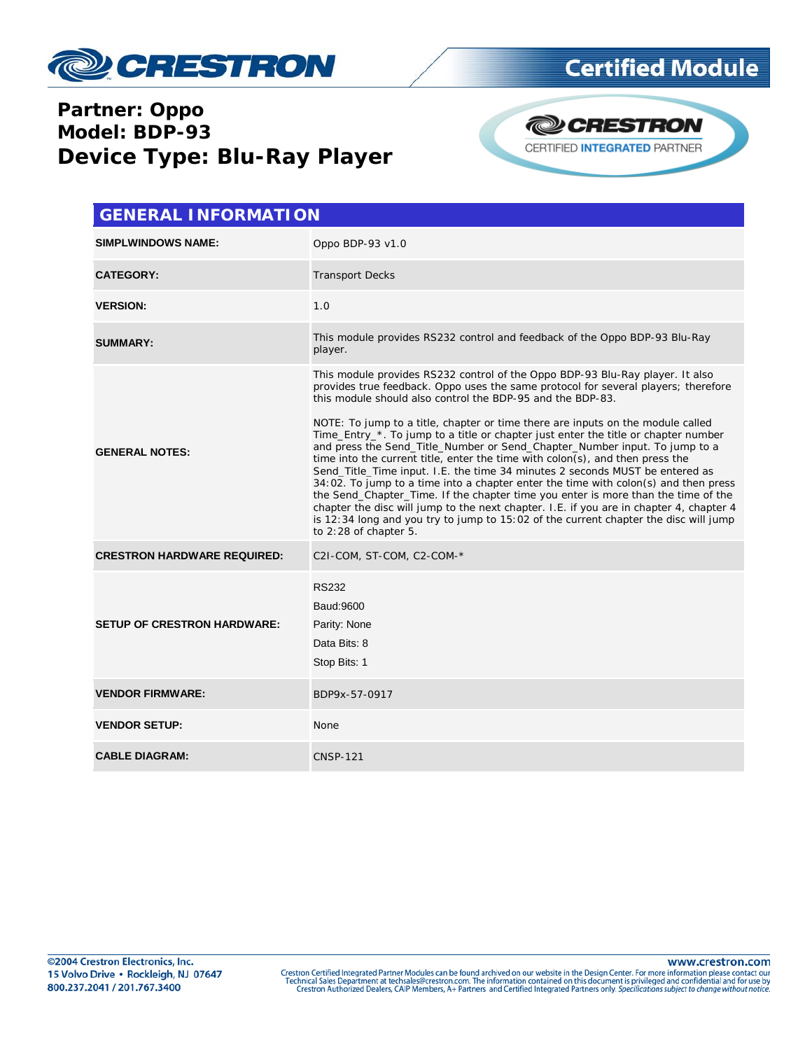

#### **Partner: Oppo Model: BDP-93 Device Type: Blu-Ray Player**



| <b>GENERAL INFORMATION</b>         |                                                                                                                                                                                                                                                                                                                                                                                                                                                                                                                                                                                                                                                                                                                                                                                                                                                                                                                                                                                                                                                      |  |  |  |  |  |
|------------------------------------|------------------------------------------------------------------------------------------------------------------------------------------------------------------------------------------------------------------------------------------------------------------------------------------------------------------------------------------------------------------------------------------------------------------------------------------------------------------------------------------------------------------------------------------------------------------------------------------------------------------------------------------------------------------------------------------------------------------------------------------------------------------------------------------------------------------------------------------------------------------------------------------------------------------------------------------------------------------------------------------------------------------------------------------------------|--|--|--|--|--|
| <b>SIMPLWINDOWS NAME:</b>          | Oppo BDP-93 v1.0                                                                                                                                                                                                                                                                                                                                                                                                                                                                                                                                                                                                                                                                                                                                                                                                                                                                                                                                                                                                                                     |  |  |  |  |  |
| <b>CATEGORY:</b>                   | <b>Transport Decks</b>                                                                                                                                                                                                                                                                                                                                                                                                                                                                                                                                                                                                                                                                                                                                                                                                                                                                                                                                                                                                                               |  |  |  |  |  |
| <b>VERSION:</b>                    | 1.0                                                                                                                                                                                                                                                                                                                                                                                                                                                                                                                                                                                                                                                                                                                                                                                                                                                                                                                                                                                                                                                  |  |  |  |  |  |
| <b>SUMMARY:</b>                    | This module provides RS232 control and feedback of the Oppo BDP-93 Blu-Ray<br>player.                                                                                                                                                                                                                                                                                                                                                                                                                                                                                                                                                                                                                                                                                                                                                                                                                                                                                                                                                                |  |  |  |  |  |
| <b>GENERAL NOTES:</b>              | This module provides RS232 control of the Oppo BDP-93 Blu-Ray player. It also<br>provides true feedback. Oppo uses the same protocol for several players; therefore<br>this module should also control the BDP-95 and the BDP-83.<br>NOTE: To jump to a title, chapter or time there are inputs on the module called<br>Time_Entry_*. To jump to a title or chapter just enter the title or chapter number<br>and press the Send_Title_Number or Send_Chapter_Number input. To jump to a<br>time into the current title, enter the time with colon(s), and then press the<br>Send_Title_Time input. I.E. the time 34 minutes 2 seconds MUST be entered as<br>$34:02$ . To jump to a time into a chapter enter the time with colon(s) and then press<br>the Send_Chapter_Time. If the chapter time you enter is more than the time of the<br>chapter the disc will jump to the next chapter. I.E. if you are in chapter 4, chapter 4<br>is 12:34 long and you try to jump to 15:02 of the current chapter the disc will jump<br>to 2:28 of chapter 5. |  |  |  |  |  |
| <b>CRESTRON HARDWARE REQUIRED:</b> | C2I-COM, ST-COM, C2-COM-*                                                                                                                                                                                                                                                                                                                                                                                                                                                                                                                                                                                                                                                                                                                                                                                                                                                                                                                                                                                                                            |  |  |  |  |  |
| <b>SETUP OF CRESTRON HARDWARE:</b> | <b>RS232</b><br>Baud: 9600<br>Parity: None<br>Data Bits: 8<br>Stop Bits: 1                                                                                                                                                                                                                                                                                                                                                                                                                                                                                                                                                                                                                                                                                                                                                                                                                                                                                                                                                                           |  |  |  |  |  |
| <b>VENDOR FIRMWARE:</b>            | BDP9x-57-0917                                                                                                                                                                                                                                                                                                                                                                                                                                                                                                                                                                                                                                                                                                                                                                                                                                                                                                                                                                                                                                        |  |  |  |  |  |
| <b>VENDOR SETUP:</b>               | None                                                                                                                                                                                                                                                                                                                                                                                                                                                                                                                                                                                                                                                                                                                                                                                                                                                                                                                                                                                                                                                 |  |  |  |  |  |
| <b>CABLE DIAGRAM:</b>              | <b>CNSP-121</b>                                                                                                                                                                                                                                                                                                                                                                                                                                                                                                                                                                                                                                                                                                                                                                                                                                                                                                                                                                                                                                      |  |  |  |  |  |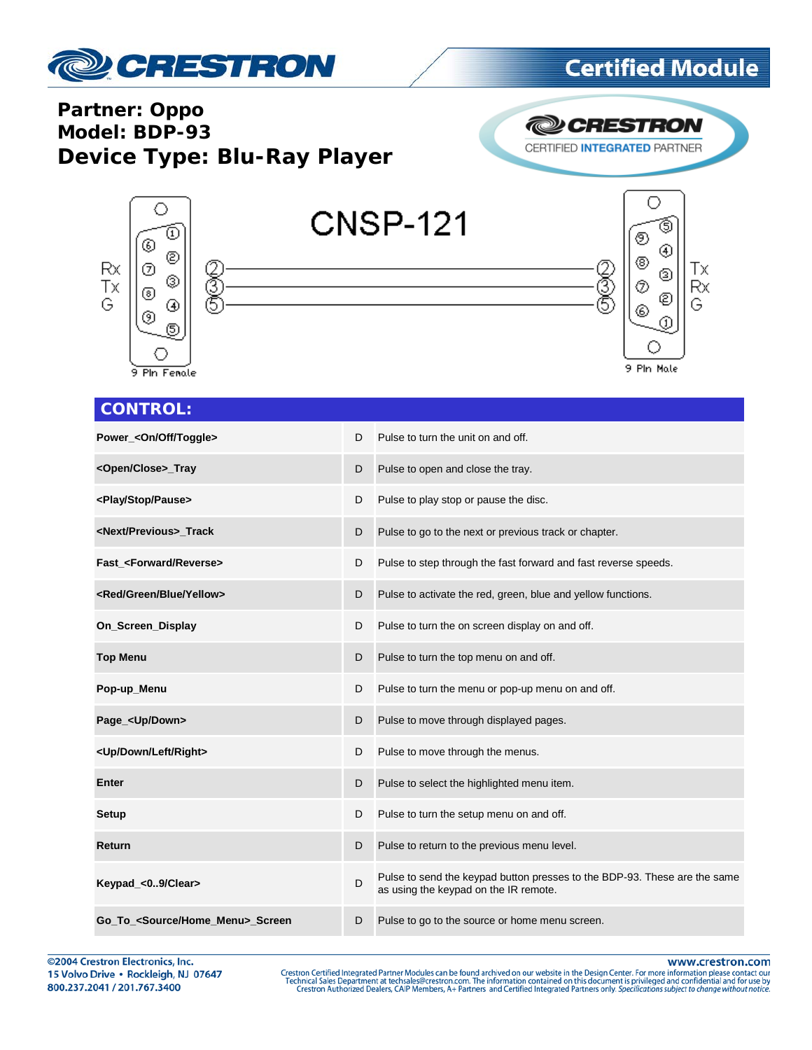

#### **Partner: Oppo Model: BDP-93 Device Type: Blu-Ray Player**

**@CRESTRON** CERTIFIED INTEGRATED PARTNER



#### **CONTROL:**

| Power_ <on off="" toggle=""></on>      | D | Pulse to turn the unit on and off.                                                                                 |
|----------------------------------------|---|--------------------------------------------------------------------------------------------------------------------|
| <open close="">_Tray</open>            | D | Pulse to open and close the tray.                                                                                  |
| <play pause="" stop=""></play>         | D | Pulse to play stop or pause the disc.                                                                              |
| <next previous=""> Track</next>        | D | Pulse to go to the next or previous track or chapter.                                                              |
| Fast_ <forward reverse=""></forward>   | D | Pulse to step through the fast forward and fast reverse speeds.                                                    |
| <red blue="" green="" yellow=""></red> | D | Pulse to activate the red, green, blue and yellow functions.                                                       |
| On_Screen_Display                      | D | Pulse to turn the on screen display on and off.                                                                    |
| <b>Top Menu</b>                        | D | Pulse to turn the top menu on and off.                                                                             |
| Pop-up_Menu                            | D | Pulse to turn the menu or pop-up menu on and off.                                                                  |
| Page_ <up down=""></up>                | D | Pulse to move through displayed pages.                                                                             |
| <up down="" left="" right=""></up>     | D | Pulse to move through the menus.                                                                                   |
| <b>Enter</b>                           | D | Pulse to select the highlighted menu item.                                                                         |
| Setup                                  | D | Pulse to turn the setup menu on and off.                                                                           |
| Return                                 | D | Pulse to return to the previous menu level.                                                                        |
| Keypad_<09/Clear>                      | D | Pulse to send the keypad button presses to the BDP-93. These are the same<br>as using the keypad on the IR remote. |
| Go_To_ <source home_menu=""/> _Screen  | D | Pulse to go to the source or home menu screen.                                                                     |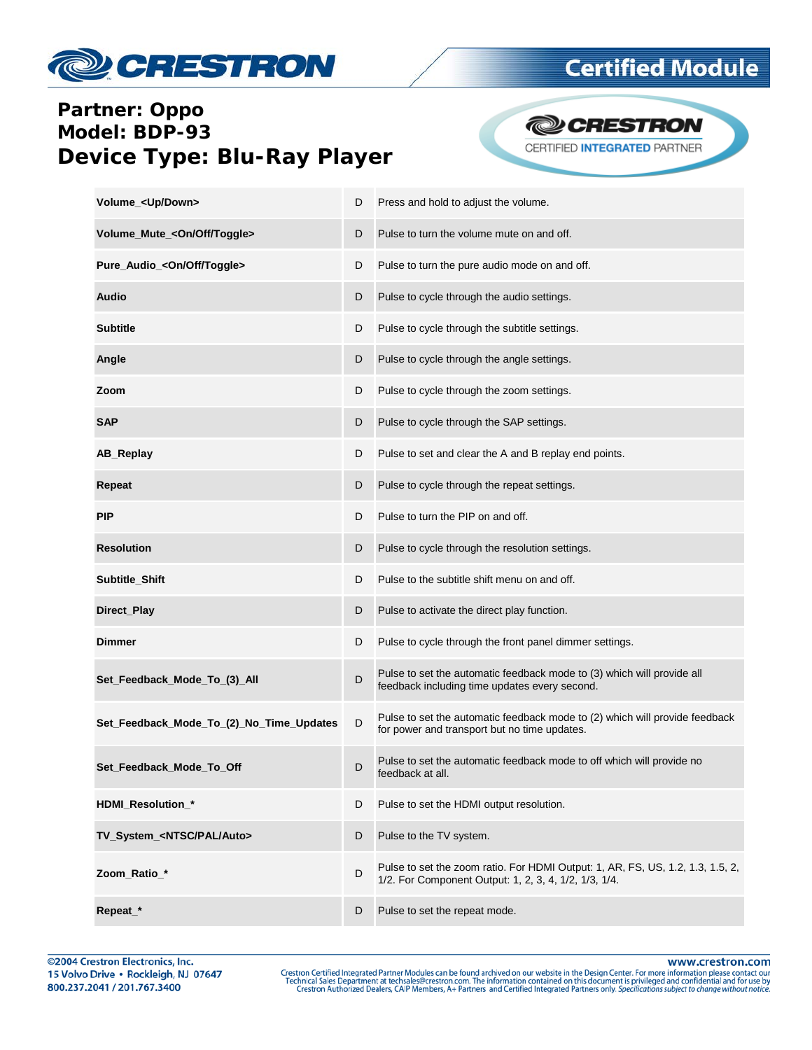

### **Partner: Oppo** Model: BDP-93 **Device Type: Blu-Ray Player**

**@CRESTRON** CERTIFIED INTEGRATED PARTNER

| Volume_ <up down=""></up>                | D | Press and hold to adjust the volume.                                                                                                    |
|------------------------------------------|---|-----------------------------------------------------------------------------------------------------------------------------------------|
| Volume_Mute_ <on off="" toggle=""></on>  | D | Pulse to turn the volume mute on and off.                                                                                               |
| Pure_Audio_ <on off="" toggle=""></on>   | D | Pulse to turn the pure audio mode on and off.                                                                                           |
| <b>Audio</b>                             | D | Pulse to cycle through the audio settings.                                                                                              |
| <b>Subtitle</b>                          | D | Pulse to cycle through the subtitle settings.                                                                                           |
| Angle                                    | D | Pulse to cycle through the angle settings.                                                                                              |
| Zoom                                     | D | Pulse to cycle through the zoom settings.                                                                                               |
| <b>SAP</b>                               | D | Pulse to cycle through the SAP settings.                                                                                                |
| AB_Replay                                | D | Pulse to set and clear the A and B replay end points.                                                                                   |
| Repeat                                   | D | Pulse to cycle through the repeat settings.                                                                                             |
| <b>PIP</b>                               | D | Pulse to turn the PIP on and off.                                                                                                       |
| <b>Resolution</b>                        | D | Pulse to cycle through the resolution settings.                                                                                         |
| Subtitle_Shift                           | D | Pulse to the subtitle shift menu on and off.                                                                                            |
| Direct_Play                              | D | Pulse to activate the direct play function.                                                                                             |
| <b>Dimmer</b>                            | D | Pulse to cycle through the front panel dimmer settings.                                                                                 |
| Set_Feedback_Mode_To_(3)_All             | D | Pulse to set the automatic feedback mode to (3) which will provide all<br>feedback including time updates every second.                 |
| Set_Feedback_Mode_To_(2)_No_Time_Updates | D | Pulse to set the automatic feedback mode to (2) which will provide feedback<br>for power and transport but no time updates.             |
| Set_Feedback_Mode_To_Off                 | D | Pulse to set the automatic feedback mode to off which will provide no<br>feedback at all.                                               |
| HDMI_Resolution_*                        | D | Pulse to set the HDMI output resolution.                                                                                                |
| TV_System_ <ntsc auto="" pal=""></ntsc>  | D | Pulse to the TV system.                                                                                                                 |
| Zoom Ratio *                             | D | Pulse to set the zoom ratio. For HDMI Output: 1, AR, FS, US, 1.2, 1.3, 1.5, 2,<br>1/2. For Component Output: 1, 2, 3, 4, 1/2, 1/3, 1/4. |
| Repeat_*                                 | D | Pulse to set the repeat mode.                                                                                                           |

www.crestron.com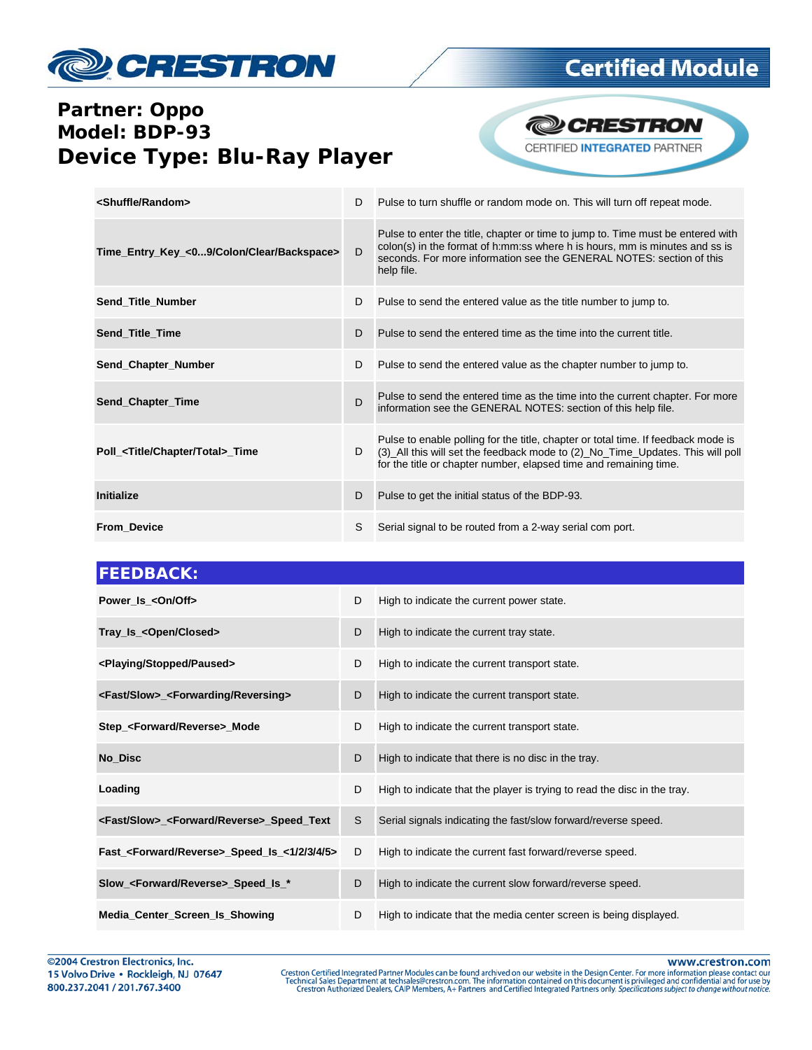

#### **Partner: Oppo Model: BDP-93 Device Type: Blu-Ray Player**



| <shuffle random=""></shuffle>                  | D | Pulse to turn shuffle or random mode on. This will turn off repeat mode.                                                                                                                                                                             |
|------------------------------------------------|---|------------------------------------------------------------------------------------------------------------------------------------------------------------------------------------------------------------------------------------------------------|
| Time_Entry_Key_<09/Colon/Clear/Backspace>      | D | Pulse to enter the title, chapter or time to jump to. Time must be entered with<br>colon(s) in the format of h:mm:ss where h is hours, mm is minutes and ss is<br>seconds. For more information see the GENERAL NOTES: section of this<br>help file. |
| Send_Title_Number                              | D | Pulse to send the entered value as the title number to jump to.                                                                                                                                                                                      |
| Send_Title_Time                                | D | Pulse to send the entered time as the time into the current title.                                                                                                                                                                                   |
| Send_Chapter_Number                            | D | Pulse to send the entered value as the chapter number to jump to.                                                                                                                                                                                    |
| Send_Chapter_Time                              | D | Pulse to send the entered time as the time into the current chapter. For more<br>information see the GENERAL NOTES: section of this help file.                                                                                                       |
| Poll_ <title chapter="" total="">_Time</title> | D | Pulse to enable polling for the title, chapter or total time. If feedback mode is<br>(3) All this will set the feedback mode to (2) No Time Updates. This will poll<br>for the title or chapter number, elapsed time and remaining time.             |
| <b>Initialize</b>                              | D | Pulse to get the initial status of the BDP-93.                                                                                                                                                                                                       |
| <b>From Device</b>                             | S | Serial signal to be routed from a 2-way serial com port.                                                                                                                                                                                             |

| <b>FEEDBACK:</b>                                                |   |                                                                          |  |
|-----------------------------------------------------------------|---|--------------------------------------------------------------------------|--|
| Power_Is_ <on off=""></on>                                      | D | High to indicate the current power state.                                |  |
| Tray_Is_ <open closed=""></open>                                | D | High to indicate the current tray state.                                 |  |
| <playing paused="" stopped=""></playing>                        | D | High to indicate the current transport state.                            |  |
| <fast slow="">_<forwarding reversing=""></forwarding></fast>    | D | High to indicate the current transport state.                            |  |
| Step_ <forward reverse="">_Mode</forward>                       | D | High to indicate the current transport state.                            |  |
| No Disc                                                         | D | High to indicate that there is no disc in the tray.                      |  |
| Loading                                                         | D | High to indicate that the player is trying to read the disc in the tray. |  |
| <fast slow="">_<forward reverse="">_Speed_Text</forward></fast> | S | Serial signals indicating the fast/slow forward/reverse speed.           |  |
| Fast_ <forward reverse="">_Speed_Is_&lt;1/2/3/4/5&gt;</forward> | D | High to indicate the current fast forward/reverse speed.                 |  |
| Slow_ <forward reverse="">_Speed_Is_*</forward>                 | D | High to indicate the current slow forward/reverse speed.                 |  |
| Media_Center_Screen_Is_Showing                                  | D | High to indicate that the media center screen is being displayed.        |  |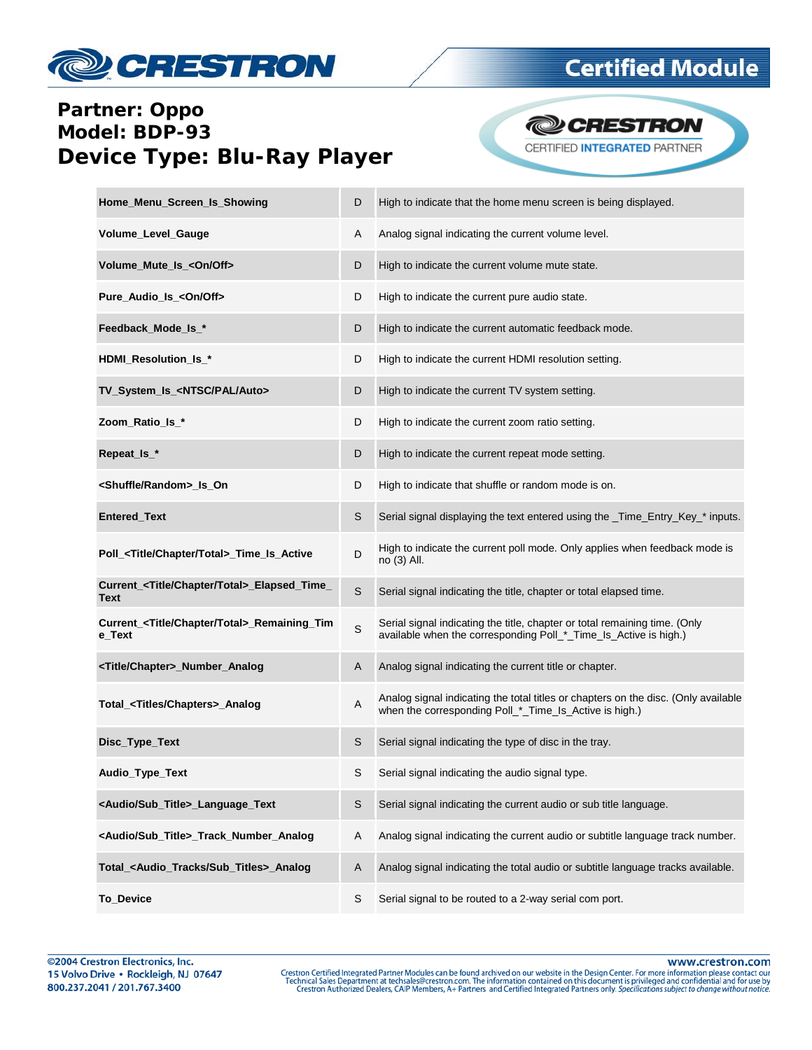

#### **Partner: Oppo** Model: BDP-93 **Device Type: Blu-Ray Player**

**@CRESTRON** CERTIFIED INTEGRATED PARTNER

| Home_Menu_Screen_Is_Showing                                           | D | High to indicate that the home menu screen is being displayed.                                                                                 |
|-----------------------------------------------------------------------|---|------------------------------------------------------------------------------------------------------------------------------------------------|
| Volume_Level_Gauge                                                    | Α | Analog signal indicating the current volume level.                                                                                             |
| Volume_Mute_Is_ <on off=""></on>                                      | D | High to indicate the current volume mute state.                                                                                                |
| Pure_Audio_Is_ <on off=""></on>                                       | D | High to indicate the current pure audio state.                                                                                                 |
| Feedback_Mode_Is_*                                                    | D | High to indicate the current automatic feedback mode.                                                                                          |
| HDMI_Resolution_ls_*                                                  | D | High to indicate the current HDMI resolution setting.                                                                                          |
| TV_System_Is_ <ntsc auto="" pal=""></ntsc>                            | D | High to indicate the current TV system setting.                                                                                                |
| Zoom_Ratio_Is_*                                                       | D | High to indicate the current zoom ratio setting.                                                                                               |
| Repeat_Is_*                                                           | D | High to indicate the current repeat mode setting.                                                                                              |
| <shuffle random="">_Is_On</shuffle>                                   | D | High to indicate that shuffle or random mode is on.                                                                                            |
| Entered_Text                                                          | S | Serial signal displaying the text entered using the _Time_Entry_Key_* inputs.                                                                  |
| Poll_ <title chapter="" total="">_Time_Is_Active</title>              | D | High to indicate the current poll mode. Only applies when feedback mode is<br>no (3) All.                                                      |
| Current_ <title chapter="" total="">_Elapsed_Time_<br/>Text</title>   | S | Serial signal indicating the title, chapter or total elapsed time.                                                                             |
| Current_ <title chapter="" total="">_Remaining_Tim<br/>e_Text</title> | S | Serial signal indicating the title, chapter or total remaining time. (Only<br>available when the corresponding Poll_*_Time_Is_Active is high.) |
| <title chapter="">_Number_Analog</title>                              | Α | Analog signal indicating the current title or chapter.                                                                                         |
| Total_ <titles chapters="">_Analog</titles>                           | Α | Analog signal indicating the total titles or chapters on the disc. (Only available<br>when the corresponding Poll_*_Time_Is_Active is high.)   |
| Disc_Type_Text                                                        | S | Serial signal indicating the type of disc in the tray.                                                                                         |
| Audio_Type_Text                                                       | S | Serial signal indicating the audio signal type.                                                                                                |
| <audio sub_title="">_Language_Text</audio>                            | S | Serial signal indicating the current audio or sub title language.                                                                              |
| <audio sub_title="">_Track_Number_Analog</audio>                      | Α | Analog signal indicating the current audio or subtitle language track number.                                                                  |
| Total_ <audio_tracks sub_titles="">_Analog</audio_tracks>             | Α | Analog signal indicating the total audio or subtitle language tracks available.                                                                |
| <b>To_Device</b>                                                      | S | Serial signal to be routed to a 2-way serial com port.                                                                                         |

www.crestron.com